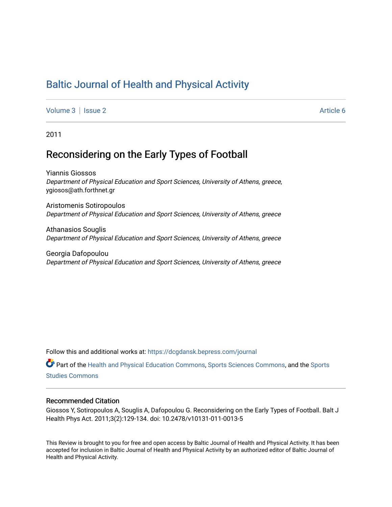# [Baltic Journal of Health and Physical Activity](https://dcgdansk.bepress.com/journal)

[Volume 3](https://dcgdansk.bepress.com/journal/vol3) | [Issue 2](https://dcgdansk.bepress.com/journal/vol3/iss2) Article 6

2011

# Reconsidering on the Early Types of Football

Yiannis Giossos Department of Physical Education and Sport Sciences, University of Athens, greece, ygiosos@ath.forthnet.gr

Aristomenis Sotiropoulos Department of Physical Education and Sport Sciences, University of Athens, greece

Athanasios Souglis Department of Physical Education and Sport Sciences, University of Athens, greece

Georgia Dafopoulou Department of Physical Education and Sport Sciences, University of Athens, greece

Follow this and additional works at: [https://dcgdansk.bepress.com/journal](https://dcgdansk.bepress.com/journal?utm_source=dcgdansk.bepress.com%2Fjournal%2Fvol3%2Fiss2%2F6&utm_medium=PDF&utm_campaign=PDFCoverPages)

Part of the [Health and Physical Education Commons](http://network.bepress.com/hgg/discipline/1327?utm_source=dcgdansk.bepress.com%2Fjournal%2Fvol3%2Fiss2%2F6&utm_medium=PDF&utm_campaign=PDFCoverPages), [Sports Sciences Commons](http://network.bepress.com/hgg/discipline/759?utm_source=dcgdansk.bepress.com%2Fjournal%2Fvol3%2Fiss2%2F6&utm_medium=PDF&utm_campaign=PDFCoverPages), and the [Sports](http://network.bepress.com/hgg/discipline/1198?utm_source=dcgdansk.bepress.com%2Fjournal%2Fvol3%2Fiss2%2F6&utm_medium=PDF&utm_campaign=PDFCoverPages)  [Studies Commons](http://network.bepress.com/hgg/discipline/1198?utm_source=dcgdansk.bepress.com%2Fjournal%2Fvol3%2Fiss2%2F6&utm_medium=PDF&utm_campaign=PDFCoverPages) 

#### Recommended Citation

Giossos Y, Sotiropoulos A, Souglis A, Dafopoulou G. Reconsidering on the Early Types of Football. Balt J Health Phys Act. 2011;3(2):129-134. doi: 10.2478/v10131-011-0013-5

This Review is brought to you for free and open access by Baltic Journal of Health and Physical Activity. It has been accepted for inclusion in Baltic Journal of Health and Physical Activity by an authorized editor of Baltic Journal of Health and Physical Activity.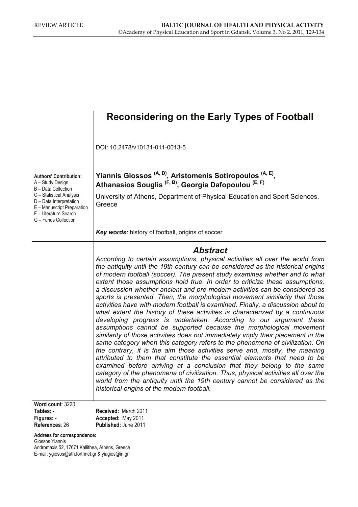## **Reconsidering on the Early Types of Football Authors' Contribution:**  A – Study Design B – Data Collection C – Statistical Analysis D – Data Interpretation E – Manuscript Preparation F – Literature Search G – Funds Collection DOI: 10.2478/v10131-011-0013-5 **Yiannis Giossos (A, D), Aristomenis Sotiropoulos (A, E),**  Athanasios Souglis <sup>(F, B)</sup>, Georgia Dafopoulou<sup>(E, F)</sup> University of Athens, Department of Physical Education and Sport Sciences, **Greece** *Key words:* history of football, origins of soccer *Abstract According to certain assumptions, physical activities all over the world from the antiquity until the 19th century can be considered as the historical origins of modern football (soccer). The present study examines whether and to what extent those assumptions hold true. In order to criticize these assumptions, a discussion whether ancient and pre-modern activities can be considered as sports is presented. Then, the morphological movement similarity that those activities have with modern football is examined. Finally, a discussion about to what extent the history of these activities is characterized by a continuous developing progress is undertaken. According to our argument these assumptions cannot be supported because the morphological movement similarity of those activities does not immediately imply their placement in the same category when this category refers to the phenomena of civilization. On the contrary, it is the aim those activities serve and, mostly, the meaning attributed to them that constitute the essential elements that need to be examined before arriving at a conclusion that they belong to the same category of the phenomena of civilization. Thus, physical activities all over the world from the antiquity until the 19th century cannot be considered as the historical origins of the modern football.*  **Word count**: 3220 **Tables:** - **Figures:** - **References**: 26 **Received:** March 2011 **Accepted:** May 2011 **Published:** June 2011

**Address for correspondence:** 

Giossos Yiannis Andromaxis 52, 17671 Kallithea, Athens, Greece E-mail: ygiosos@ath.forthnet.gr & yiagios@in.gr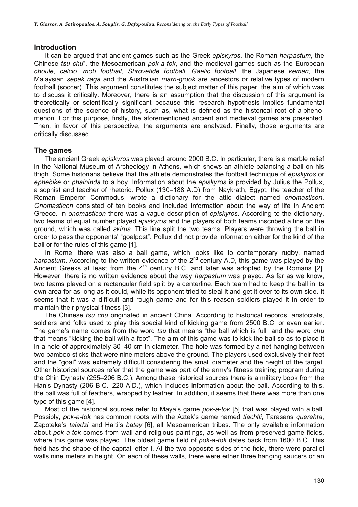#### **Introduction**

It can be argued that ancient games such as the Greek *episkyros*, the Roman *harpastum*, the Chinese *tsu chu*", the Mesoamerican *pok-a-tok*, and the medieval games such as the European *choule, calcio*, *mob football*, *Shrovetide football*, *Gaelic football*, the Japanese *kemari*, the Malaysian *sepak raga* and the Australian *marn-grook* are ancestors or relative types of modern football (soccer). This argument constitutes the subject matter of this paper, the aim of which was to discuss it critically. Moreover, there is an assumption that the discussion of this argument is theoretically or scientifically significant because this research hypothesis implies fundamental questions of the science of history, such as, what is defined as the historical root of a phenomenon. For this purpose, firstly, the aforementioned ancient and medieval games are presented. Then, in favor of this perspective, the arguments are analyzed. Finally, those arguments are critically discussed.

### **The games**

The ancient Greek *episkyros* was played around 2000 B.C. In particular, there is a marble relief in the National Museum of Archeology in Athens, which shows an athlete balancing a ball on his thigh. Some historians believe that the athlete demonstrates the football technique of *episkyros* or *ephebike* or *phaininda* to a boy. Information about the *episkyros* is provided by Julius the Pollux, a sophist and teacher of rhetoric. Pollux (130–188 A.D) from Naykrath, Egypt, the teacher of the Roman Emperor Commodus, wrote a dictionary for the attic dialect named *onomasticon*. *Onomasticon* consisted of ten books and included information about the way of life in Ancient Greece. In *onomasticon* there was a vague description of *episkyros*. According to the dictionary, two teams of equal number played *episkyros* and the players of both teams inscribed a line on the ground, which was called *skirus*. This line split the two teams. Players were throwing the ball in order to pass the opponents' "goalpost". Pollux did not provide information either for the kind of the ball or for the rules of this game [1].

In Rome, there was also a ball game, which looks like to contemporary rugby, named *harpastum*. According to the written evidence of the 2<sup>nd</sup> century A.D, this game was played by the Ancient Greeks at least from the  $4<sup>th</sup>$  century B.C, and later was adopted by the Romans [2]. However, there is no written evidence about the way *harpastum* was played. As far as we know, two teams played on a rectangular field split by a centerline. Each team had to keep the ball in its own area for as long as it could, while its opponent tried to steal it and get it over to its own side. It seems that it was a difficult and rough game and for this reason soldiers played it in order to maintain their physical fitness [3].

The Chinese *tsu chu* originated in ancient China. According to historical records, aristocrats, soldiers and folks used to play this special kind of kicking game from 2500 B.C. or even earlier. The game's name comes from the word *tsu* that means "the ball which is full" and the word *chu* that means "kicking the ball with a foot". The aim of this game was to kick the ball so as to place it in a hole of approximately 30–40 cm in diameter. The hole was formed by a net hanging between two bamboo sticks that were nine meters above the ground. The players used exclusively their feet and the "goal" was extremely difficult considering the small diameter and the height of the target. Other historical sources refer that the game was part of the army's fitness training program during the Chin Dynasty (255–206 B.C.). Among these historical sources there is a military book from the Han's Dynasty (206 B.C.–220 A.D.), which includes information about the ball. According to this, the ball was full of feathers, wrapped by leather. In addition, it seems that there was more than one type of this game [4].

Most of the historical sources refer to Maya's game *pok-a-tok* [5] that was played with a ball. Possibly, *pok-a-tok* has common roots with the Aztek's game named *tlachtli*, Tarasans *querehta*, Zapoteka's *taladzl* and Haiti's *batey* [6], all Mesoamerican tribes. The only available information about *pok-a-tok* comes from wall and religious paintings, as well as from preserved game fields, where this game was played. The oldest game field of *pok-a-tok* dates back from 1600 B.C. This field has the shape of the capital letter I. At the two opposite sides of the field, there were parallel walls nine meters in height. On each of these walls, there were either three hanging saucers or an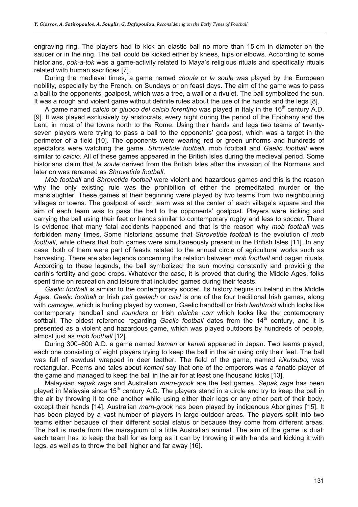engraving ring. The players had to kick an elastic ball no more than 15 cm in diameter on the saucer or in the ring. The ball could be kicked either by knees, hips or elbows. According to some historians, *pok-a-tok* was a game-activity related to Maya's religious rituals and specifically rituals related with human sacrifices [7].

During the medieval times, a game named *choule* or *la soule* was played by the European nobility, especially by the French, on Sundays or on feast days. The aim of the game was to pass a ball to the opponents' goalpost, which was a tree, a wall or a rivulet. The ball symbolized the sun. It was a rough and violent game without definite rules about the use of the hands and the legs [8].

A game named *calcio* or *giuoco del calcio forentino* was played in Italy in the 16th century A.D. [9]. It was played exclusively by aristocrats, every night during the period of the Epiphany and the Lent, in most of the towns north to the Rome. Using their hands and legs two teams of twentyseven players were trying to pass a ball to the opponents' goalpost, which was a target in the perimeter of a field [10]. The opponents were wearing red or green uniforms and hundreds of spectators were watching the game. *Shrovetide football*, mob football and *Gaelic football* were similar to *calcio*. All of these games appeared in the British Isles during the medieval period. Some historians claim that *la soule* derived from the British Isles after the invasion of the Normans and later on was renamed as *Shrovetide football*.

*Mob football* and *Shrovetide football* were violent and hazardous games and this is the reason why the only existing rule was the prohibition of either the premeditated murder or the manslaughter. These games at their beginning were played by two teams from two neighbouring villages or towns. The goalpost of each team was at the center of each village's square and the aim of each team was to pass the ball to the opponents' goalpost. Players were kicking and carrying the ball using their feet or hands similar to contemporary rugby and less to soccer. There is evidence that many fatal accidents happened and that is the reason why *mob football* was forbidden many times. Some historians assume that *Shrovetide football* is the evolution of *mob football*, while others that both games were simultaneously present in the British Isles [11]. In any case, both of them were part of feasts related to the annual circle of agricultural works such as harvesting. There are also legends concerning the relation between *mob football* and pagan rituals. According to these legends, the ball symbolized the sun moving constantly and providing the earth's fertility and good crops. Whatever the case, it is proved that during the Middle Ages, folks spent time on recreation and leisure that included games during their feasts.

*Gaelic football* is similar to the contemporary soccer. Its history begins in Ireland in the Middle Ages. *Gaelic football* or Irish *peil gaelach* or *caid* is one of the four traditional Irish games, along with *camogie*, which is hurling played by women, Gaelic handball or Irish *lianhtroid* which looks like contemporary handball and *rounders* or Irish *cluiche corr* which looks like the contemporary softball. The oldest reference regarding *Gaelic football* dates from the 14<sup>th</sup> century, and it is presented as a violent and hazardous game, which was played outdoors by hundreds of people, almost just as *mob football* [12].

During 300–600 A.D. a game named *kemari* or *kenatt* appeared in Japan. Two teams played, each one consisting of eight players trying to keep the ball in the air using only their feet. The ball was full of sawdust wrapped in deer leather. The field of the game, named *kikutsubo*, was rectangular. Poems and tales about *kemari* say that one of the emperors was a fanatic player of the game and managed to keep the ball in the air for at least one thousand kicks [13].

Malaysian *sepak raga* and Australian *marn-grook* are the last games. *Sepak raga* has been played in Malaysia since  $15<sup>th</sup>$  century A.C. The players stand in a circle and try to keep the ball in the air by throwing it to one another while using either their legs or any other part of their body, except their hands [14]. Australian *marn-grook* has been played by indigenous Aborigines [15]. It has been played by a vast number of players in large outdoor areas. The players split into two teams either because of their different social status or because they come from different areas. The ball is made from the marsypium of a little Australian animal. The aim of the game is dual: each team has to keep the ball for as long as it can by throwing it with hands and kicking it with legs, as well as to throw the ball higher and far away [16].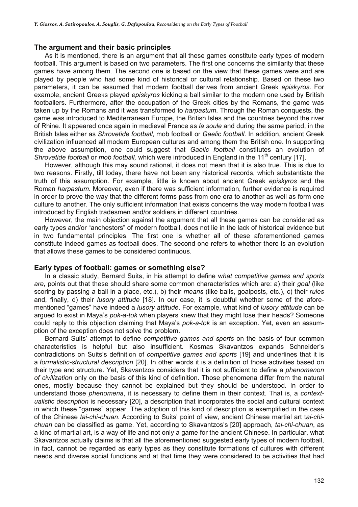#### **The argument and their basic principles**

As it is mentioned, there is an argument that all these games constitute early types of modern football. This argument is based on two parameters. The first one concerns the similarity that these games have among them. The second one is based on the view that these games were and are played by people who had some kind of historical or cultural relationship. Based on these two parameters, it can be assumed that modern football derives from ancient Greek *episkyros*. For example, ancient Greeks played *episkyros* kicking a ball similar to the modern one used by British footballers. Furthermore, after the occupation of the Greek cities by the Romans, the game was taken up by the Romans and it was transformed to *harpastum*. Through the Roman conquests, the game was introduced to Mediterranean Europe, the British Isles and the countries beyond the river of Rhine. It appeared once again in medieval France as *la soule* and during the same period, in the British Isles either as *Shrovetide football*, mob football or *Gaelic football*. In addition, ancient Greek civilization influenced all modern European cultures and among them the British one. In supporting the above assumption, one could suggest that *Gaelic football* constitutes an evolution of *Shrovetide football* or *mob football*, which were introduced in England in the 11<sup>th</sup> century [17].

However, although this may sound rational, it does not mean that it is also true. This is due to two reasons. Firstly, till today, there have not been any historical records, which substantiate the truth of this assumption. For example, little is known about ancient Greek *episkyros* and the Roman *harpastum*. Moreover, even if there was sufficient information, further evidence is required in order to prove the way that the different forms pass from one era to another as well as form one culture to another. The only sufficient information that exists concerns the way modern football was introduced by English tradesmen and/or soldiers in different countries.

However, the main objection against the argument that all these games can be considered as early types and/or "anchestors" of modern football, does not lie in the lack of historical evidence but in two fundamental principles. The first one is whether all of these aforementioned games constitute indeed games as football does. The second one refers to whether there is an evolution that allows these games to be considered continuous.

#### **Early types of football: games or something else?**

In a classic study, Bernard Suits, in his attempt to define w*hat competitive games and sports are*, points out that these should share some common characteristics which are: a) their *goal* (like scoring by passing a ball in a place, etc.), b) their *means* (like balls, goalposts, etc.), c) their *rules* and, finally, d) their *lusory attitude* [18]. In our case, it is doubtful whether some of the aforementioned "games" have indeed a *lusory attitude*. For example, what kind of *lusory attitude* can be argued to exist in Maya's *pok-a-tok* when players knew that they might lose their heads? Someone could reply to this objection claiming that Maya's *pok-a-tok* is an exception. Yet, even an assumption of the exception does not solve the problem.

Bernard Suits' attempt to define *competitive games and sports* on the basis of four common characteristics is helpful but also insufficient. Kosmas Skavantzos expands Schneider's contradictions on Suits's definition of *competitive games and sports* [19] and underlines that it is a *formalistic-structural description* [20]. In other words it is a definition of those activities based on their type and structure. Yet, Skavantzos considers that it is not sufficient to define a *phenomenon of civilization* only on the basis of this kind of definition. Those phenomena differ from the natural ones, mostly because they cannot be explained but they should be understood. In order to understand those *phenomena*, it is necessary to define them in their context. That is, a *contextualistic description* is necessary [20], a description that incorporates the social and cultural context in which these "games" appear. The adoption of this kind of description is exemplified in the case of the Chinese *tai-chi-chuan*. According to Suits' point of view, ancient Chinese martial art t*ai-chichuan* can be classified as game. Yet, according to Skavantzos's [20] approach, *tai-chi-chuan*, as a kind of martial art, is a way of life and not only a game for the ancient Chinese. In particular, what Skavantzos actually claims is that all the aforementioned suggested early types of modern football, in fact, cannot be regarded as early types as they constitute formations of cultures with different needs and diverse social functions and at that time they were considered to be activities that had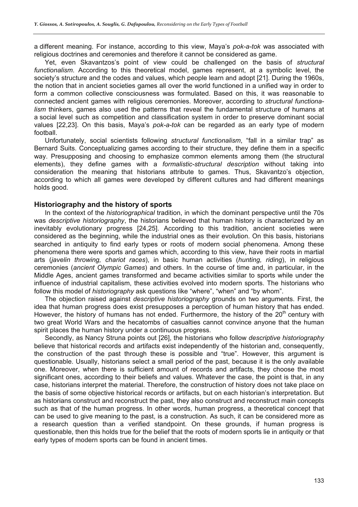a different meaning. For instance, according to this view, Maya's *pok-a-tok* was associated with religious doctrines and ceremonies and therefore it cannot be considered as game.

Yet, even Skavantzos's point of view could be challenged on the basis of *structural functionalism*. According to this theoretical model, games represent, at a symbolic level, the society's structure and the codes and values, which people learn and adopt [21]. During the 1960s, the notion that in ancient societies games all over the world functioned in a unified way in order to form a common collective consciousness was formulated. Based on this, it was reasonable to connected ancient games with religious ceremonies. Moreover, according to *structural functionalism* thinkers, games also used the patterns that reveal the fundamental structure of humans at a social level such as competition and classification system in order to preserve dominant social values [22,23]. On this basis, Maya's *pok-a-tok* can be regarded as an early type of modern football.

Unfortunately, social scientists following *structural functionalism*, "fall in a similar trap" as Bernard Suits. Conceptualizing games according to their structure, they define them in a specific way. Presupposing and choosing to emphasize common elements among them (the structural elements), they define games with a *formalistic-structural description* without taking into consideration the meaning that historians attribute to games. Thus, Skavantzo's objection, according to which all games were developed by different cultures and had different meanings holds good.

### **Historiography and the history of sports**

In the context of the *historiographical* tradition, in which the dominant perspective until the 70s was *descriptive historiography*, the historians believed that human history is characterized by an inevitably evolutionary progress [24,25]. According to this tradition, ancient societies were considered as the beginning, while the industrial ones as their evolution. On this basis, historians searched in antiquity to find early types or roots of modern social phenomena. Among these phenomena there were sports and games which, according to this view, have their roots in martial arts (*javelin throwing, chariot races*), in basic human activities (*hunting, riding*), in religious ceremonies (*ancient Olympic Games*) and others. In the course of time and, in particular, in the Middle Ages, ancient games transformed and became activities similar to sports while under the influence of industrial capitalism, these activities evolved into modern sports. The historians who follow this model of *historiography* ask questions like "where", "when" and "by whom".

The objection raised against *descriptive historiography* grounds on two arguments. First, the idea that human progress does exist presupposes a perception of human history that has ended. However, the history of humans has not ended. Furthermore, the history of the  $20<sup>th</sup>$  century with two great World Wars and the hecatombs of casualties cannot convince anyone that the human spirit places the human history under a continuous progress.

Secondly, as Nancy Struna points out [26], the historians who follow *descriptive historiography* believe that historical records and artifacts exist independently of the historian and, consequently, the construction of the past through these is possible and "true". However, this argument is questionable. Usually, historians select a small period of the past, because it is the only available one. Moreover, when there is sufficient amount of records and artifacts, they choose the most significant ones, according to their beliefs and values. Whatever the case, the point is that, in any case, historians interpret the material. Therefore, the construction of history does not take place on the basis of some objective historical records or artifacts, but on each historian's interpretation. But as historians construct and reconstruct the past, they also construct and reconstruct main concepts such as that of the human progress. In other words, human progress, a theoretical concept that can be used to give meaning to the past, is a construction. As such, it can be considered more as a research question than a verified standpoint. On these grounds, if human progress is questionable, then this holds true for the belief that the roots of modern sports lie in antiquity or that early types of modern sports can be found in ancient times.